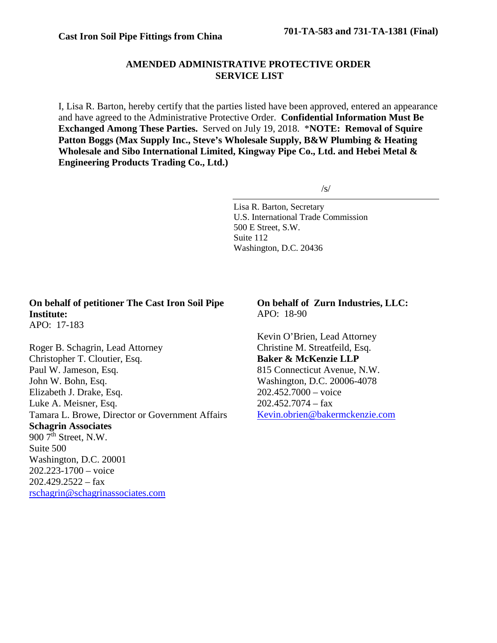## **AMENDED ADMINISTRATIVE PROTECTIVE ORDER SERVICE LIST**

I, Lisa R. Barton, hereby certify that the parties listed have been approved, entered an appearance and have agreed to the Administrative Protective Order. **Confidential Information Must Be Exchanged Among These Parties.** Served on July 19, 2018. \***NOTE: Removal of Squire Patton Boggs (Max Supply Inc., Steve's Wholesale Supply, B&W Plumbing & Heating Wholesale and Sibo International Limited, Kingway Pipe Co., Ltd. and Hebei Metal & Engineering Products Trading Co., Ltd.)**

/s/

Lisa R. Barton, Secretary U.S. International Trade Commission 500 E Street, S.W. Suite 112 Washington, D.C. 20436

## **On behalf of petitioner The Cast Iron Soil Pipe Institute:**

APO: 17-183

Roger B. Schagrin, Lead Attorney Christopher T. Cloutier, Esq. Paul W. Jameson, Esq. John W. Bohn, Esq. Elizabeth J. Drake, Esq. Luke A. Meisner, Esq. Tamara L. Browe, Director or Government Affairs **Schagrin Associates** 900 7<sup>th</sup> Street, N.W. Suite 500 Washington, D.C. 20001 202.223-1700 – voice  $202.429.2522 - fax$ [rschagrin@schagrinassociates.com](mailto:rschagrin@schagrinassociates.com)

**On behalf of Zurn Industries, LLC:** APO: 18-90

Kevin O'Brien, Lead Attorney Christine M. Streatfeild, Esq. **Baker & McKenzie LLP** 815 Connecticut Avenue, N.W. Washington, D.C. 20006-4078 202.452.7000 – voice  $202.452.7074 - fax$ [Kevin.obrien@bakermckenzie.com](mailto:Kevin.obrien@bakermckenzie.com)